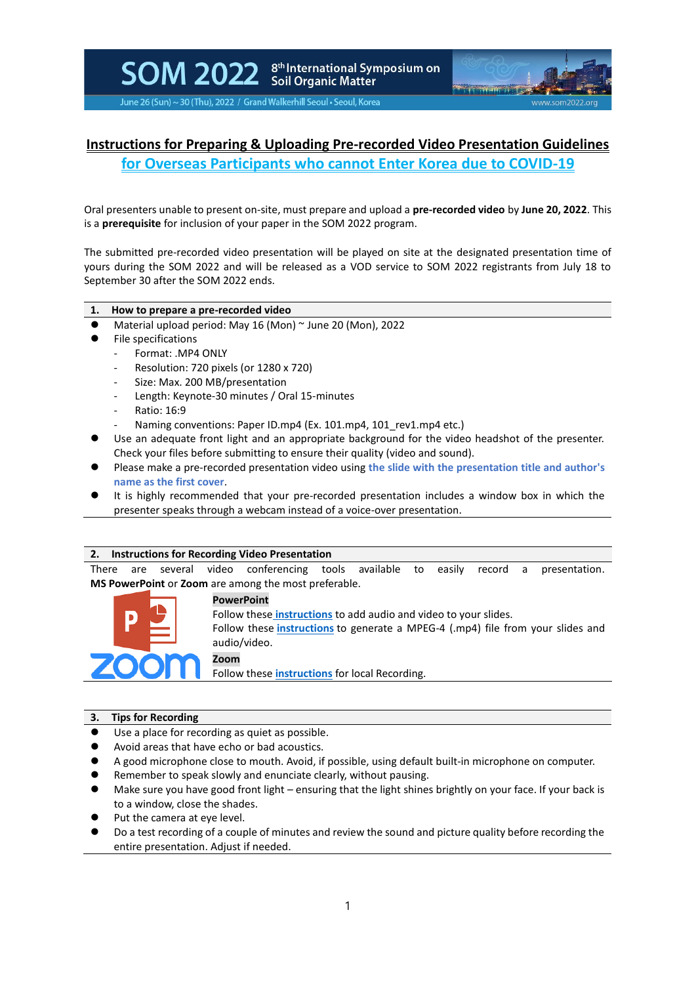SOM 2022 Scil Organic Matter

June 26 (Sun) ~ 30 (Thu), 2022 / Grand Walkerhill Seoul • Seoul, Korea

# **Instructions for Preparing & Uploading Pre-recorded Video Presentation Guidelines**

**for Overseas Participants who cannot Enter Korea due to COVID-19**

Oral presenters unable to present on-site, must prepare and upload a **pre-recorded video** by **June 20, 2022**. This is a **prerequisite** for inclusion of your paper in the SOM 2022 program.

The submitted pre-recorded video presentation will be played on site at the designated presentation time of yours during the SOM 2022 and will be released as a VOD service to SOM 2022 registrants from July 18 to September 30 after the SOM 2022 ends.

# **1. How to prepare a pre-recorded video**

- Material upload period: May 16 (Mon) ~ June 20 (Mon), 2022
- ⚫ File specifications
	- Format: .MP4 ONLY
	- Resolution: 720 pixels (or 1280 x 720)
	- Size: Max. 200 MB/presentation
	- Length: Keynote-30 minutes / Oral 15-minutes
	- Ratio: 16:9
	- Naming conventions: Paper ID.mp4 (Ex. 101.mp4, 101 rev1.mp4 etc.)
- Use an adequate front light and an appropriate background for the video headshot of the presenter. Check your files before submitting to ensure their quality (video and sound).
- ⚫ Please make a pre-recorded presentation video using **the slide with the presentation title and author's name as the first cover**.
- It is highly recommended that your pre-recorded presentation includes a window box in which the presenter speaks through a webcam instead of a voice-over presentation.

# **2. Instructions for Recording Video Presentation**

There are several video conferencing tools available to easily record a presentation. **MS PowerPoint** or **Zoom** are among the most preferable.



### **PowerPoint**

Follow these **[instructions](https://support.microsoft.com/en-us/office/record-a-slide-show-with-narration-and-slide-timings-0b9502c6-5f6c-40ae-b1e7-e47d8741161c?ui=en-us&rs=en-us&ad=us)** to add audio and video to your slides. Follow these **[instructions](https://support.microsoft.com/en-us/office/turn-your-presentation-into-a-video-c140551f-cb37-4818-b5d4-3e30815c3e83?ui=en-us&rs=en-us&ad=us)** to generate a MPEG-4 (.mp4) file from your slides and audio/video.

**Zoom**

Follow these **[instructions](https://support.zoom.us/hc/en-us/articles/201362473-Local-Recording)** for local Recording.

### **3. Tips for Recording**

- Use a place for recording as quiet as possible.
- ⚫ Avoid areas that have echo or bad acoustics.
- ⚫ A good microphone close to mouth. Avoid, if possible, using default built-in microphone on computer.
- ⚫ Remember to speak slowly and enunciate clearly, without pausing.
- Make sure you have good front light ensuring that the light shines brightly on your face. If your back is to a window, close the shades.
- Put the camera at eye level.
- ⚫ Do a test recording of a couple of minutes and review the sound and picture quality before recording the entire presentation. Adjust if needed.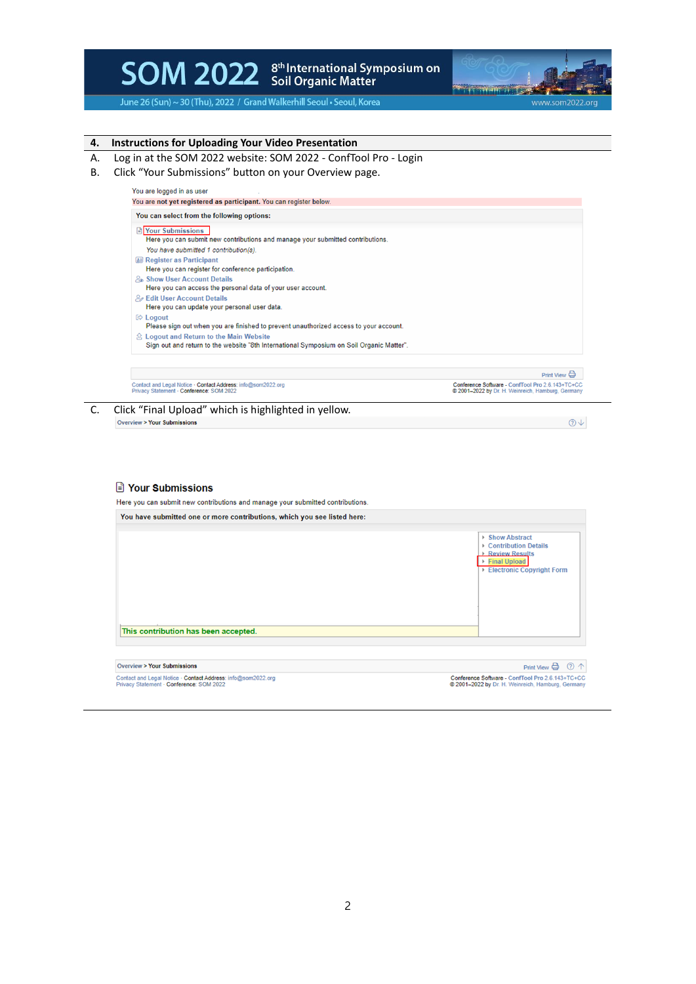

June 26 (Sun) ~ 30 (Thu), 2022 / Grand Walkerhill Seoul . Seoul, Korea



- A. Log in at the SOM 2022 website: SOM 2022 ConfTool Pro Login
- B. Click "Your Submissions" button on your Overview page.

| You can select from the following options:                                                               |                                                                                                     |
|----------------------------------------------------------------------------------------------------------|-----------------------------------------------------------------------------------------------------|
| Pour Submissions                                                                                         |                                                                                                     |
| Here you can submit new contributions and manage your submitted contributions.                           |                                                                                                     |
| You have submitted 1 contribution(s).                                                                    |                                                                                                     |
| <b>A</b> Register as Participant                                                                         |                                                                                                     |
| Here you can register for conference participation.                                                      |                                                                                                     |
| <b><i>P</i></b> . Show User Account Details                                                              |                                                                                                     |
| Here you can access the personal data of your user account.                                              |                                                                                                     |
| <b>2</b> Edit User Account Details                                                                       |                                                                                                     |
| Here you can update your personal user data.                                                             |                                                                                                     |
| $\otimes$ Logout                                                                                         |                                                                                                     |
| Please sign out when you are finished to prevent unauthorized access to your account.                    |                                                                                                     |
|                                                                                                          |                                                                                                     |
| Sign out and return to the website "8th International Symposium on Soil Organic Matter".                 |                                                                                                     |
|                                                                                                          | Print View                                                                                          |
| Contact and Legal Notice · Contact Address: info@som2022.org<br>Privacy Statement - Conference: SOM 2022 | Conference Software - ConfTool Pro 2.6.143+TC+CC<br>2001-2022 by Dr. H. Weinreich, Hamburg, Germany |
| Click "Final Upload" which is highlighted in yellow.                                                     |                                                                                                     |
| <b>Overview &gt; Your Submissions</b>                                                                    |                                                                                                     |



| You have submitted one or more contributions, which you see listed here:                                 |                                                                                                                |
|----------------------------------------------------------------------------------------------------------|----------------------------------------------------------------------------------------------------------------|
|                                                                                                          | ▶ Show Abstract<br>▶ Contribution Details<br>▶ Review Results<br>▶ Final Upload<br>▶ Electronic Copyright Form |
| This contribution has been accepted.                                                                     |                                                                                                                |
| <b>Overview &gt; Your Submissions</b>                                                                    | $\circledcirc$ $\uparrow$<br>Print View $\ominus$                                                              |
| Contact and Legal Notice - Contact Address: info@som2022.org<br>Privacy Statement · Conference: SOM 2022 | Conference Software - ConfTool Pro 2.6.143+TC+CC<br>2001-2022 by Dr. H. Weinreich, Hamburg, Germany            |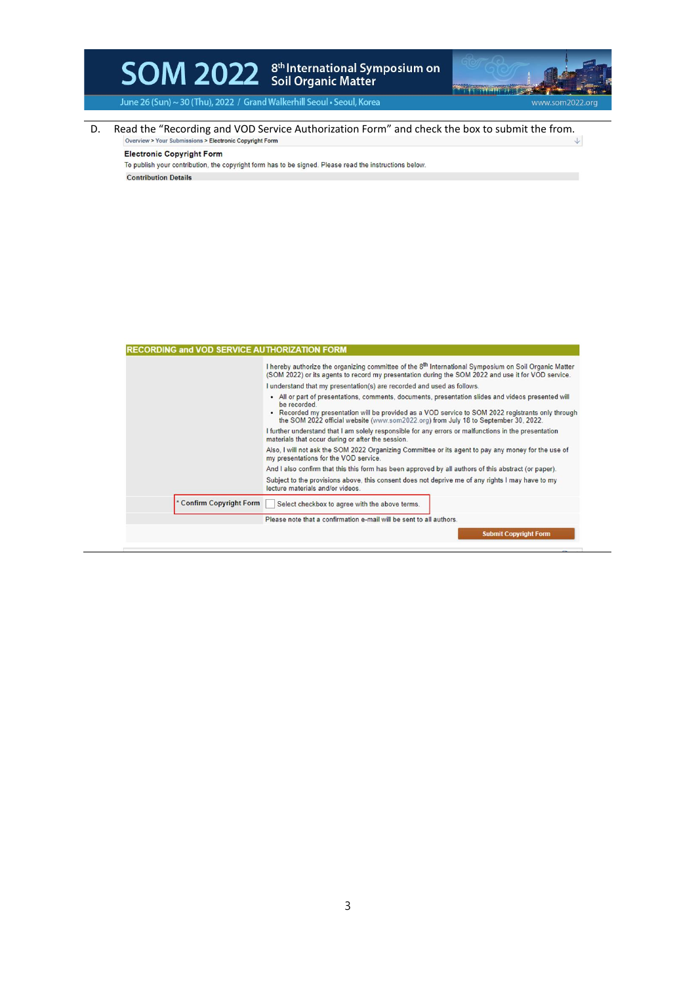

June 26 (Sun) ~ 30 (Thu), 2022 / Grand Walkerhill Seoul . Seoul, Korea

D. Read the "Recording and VOD Service Authorization Form" and check the box to submit the from.<br>  $\downarrow$ 

**Electronic Copyright Form** 

To publish your contribution, the copyright form has to be signed. Please read the instructions below.

**Contribution Details** 

| <b>RECORDING and VOD SERVICE AUTHORIZATION FORM</b> |                                                                                                                                                                                                                                                                                                               |  |
|-----------------------------------------------------|---------------------------------------------------------------------------------------------------------------------------------------------------------------------------------------------------------------------------------------------------------------------------------------------------------------|--|
|                                                     | I hereby authorize the organizing committee of the 8 <sup>th</sup> International Symposium on Soil Organic Matter<br>(SOM 2022) or its agents to record my presentation during the SOM 2022 and use it for VOD service.<br>I understand that my presentation(s) are recorded and used as follows.             |  |
|                                                     |                                                                                                                                                                                                                                                                                                               |  |
|                                                     | • All or part of presentations, comments, documents, presentation slides and videos presented will<br>be recorded<br>• Recorded my presentation will be provided as a VOD service to SOM 2022 registrants only through<br>the SOM 2022 official website (www.som2022.org) from July 18 to September 30, 2022. |  |
|                                                     | I further understand that I am solely responsible for any errors or malfunctions in the presentation<br>materials that occur during or after the session.<br>Also, I will not ask the SOM 2022 Organizing Committee or its agent to pay any money for the use of<br>my presentations for the VOD service.     |  |
|                                                     |                                                                                                                                                                                                                                                                                                               |  |
|                                                     | And I also confirm that this this form has been approved by all authors of this abstract (or paper).                                                                                                                                                                                                          |  |
|                                                     | Subject to the provisions above, this consent does not deprive me of any rights I may have to my<br>lecture materials and/or videos.                                                                                                                                                                          |  |
| * Confirm Copyright Form                            | Select checkbox to agree with the above terms.                                                                                                                                                                                                                                                                |  |
|                                                     | Please note that a confirmation e-mail will be sent to all authors.                                                                                                                                                                                                                                           |  |
|                                                     | <b>Submit Copyright Form</b>                                                                                                                                                                                                                                                                                  |  |